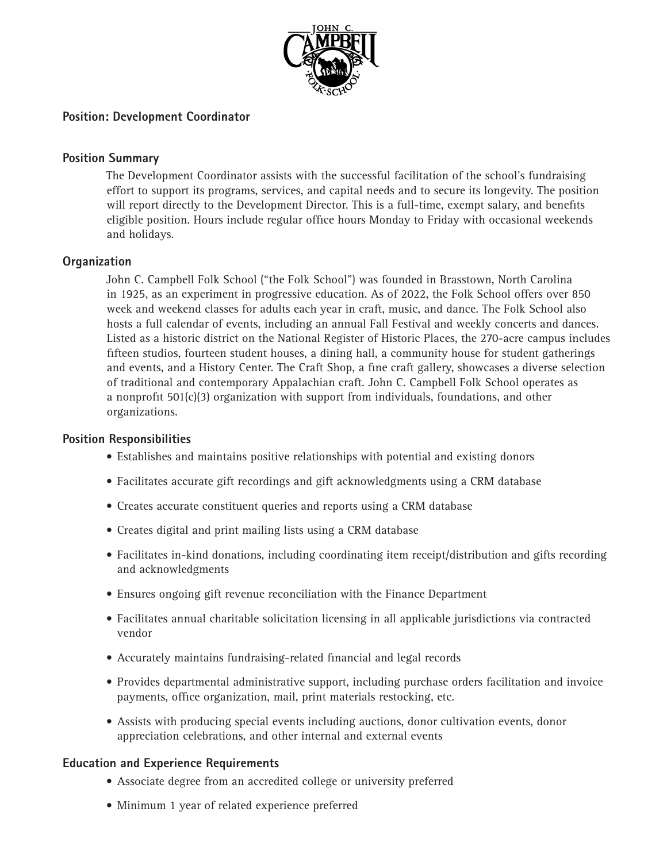

# **Position: Development Coordinator**

### **Position Summary**

The Development Coordinator assists with the successful facilitation of the school's fundraising effort to support its programs, services, and capital needs and to secure its longevity. The position will report directly to the Development Director. This is a full-time, exempt salary, and benefits eligible position. Hours include regular office hours Monday to Friday with occasional weekends and holidays.

### **Organization**

John C. Campbell Folk School ("the Folk School") was founded in Brasstown, North Carolina in 1925, as an experiment in progressive education. As of 2022, the Folk School offers over 850 week and weekend classes for adults each year in craft, music, and dance. The Folk School also hosts a full calendar of events, including an annual Fall Festival and weekly concerts and dances. Listed as a historic district on the National Register of Historic Places, the 270-acre campus includes fifteen studios, fourteen student houses, a dining hall, a community house for student gatherings and events, and a History Center. The Craft Shop, a fine craft gallery, showcases a diverse selection of traditional and contemporary Appalachian craft. John C. Campbell Folk School operates as a nonprofit 501(c)(3) organization with support from individuals, foundations, and other organizations.

#### **Position Responsibilities**

- Establishes and maintains positive relationships with potential and existing donors
- Facilitates accurate gift recordings and gift acknowledgments using a CRM database
- Creates accurate constituent queries and reports using a CRM database
- Creates digital and print mailing lists using a CRM database
- Facilitates in-kind donations, including coordinating item receipt/distribution and gifts recording and acknowledgments
- Ensures ongoing gift revenue reconciliation with the Finance Department
- Facilitates annual charitable solicitation licensing in all applicable jurisdictions via contracted vendor
- Accurately maintains fundraising-related financial and legal records
- Provides departmental administrative support, including purchase orders facilitation and invoice payments, office organization, mail, print materials restocking, etc.
- Assists with producing special events including auctions, donor cultivation events, donor appreciation celebrations, and other internal and external events

### **Education and Experience Requirements**

- Associate degree from an accredited college or university preferred
- Minimum 1 year of related experience preferred